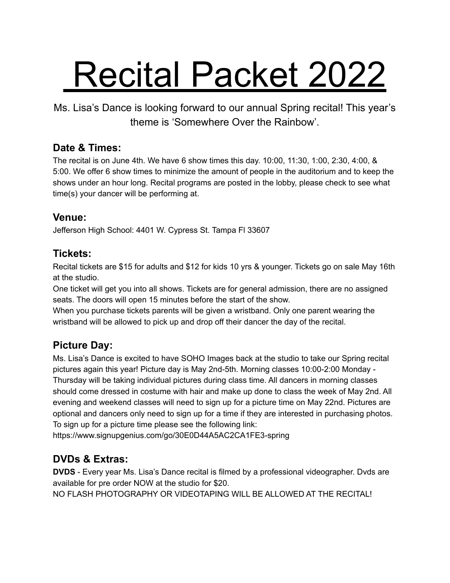# Recital Packet 2022

Ms. Lisa's Dance is looking forward to our annual Spring recital! This year's theme is 'Somewhere Over the Rainbow'.

#### **Date & Times:**

The recital is on June 4th. We have 6 show times this day. 10:00, 11:30, 1:00, 2:30, 4:00, & 5:00. We offer 6 show times to minimize the amount of people in the auditorium and to keep the shows under an hour long. Recital programs are posted in the lobby, please check to see what time(s) your dancer will be performing at.

#### **Venue:**

Jefferson High School: 4401 W. Cypress St. Tampa Fl 33607

#### **Tickets:**

Recital tickets are \$15 for adults and \$12 for kids 10 yrs & younger. Tickets go on sale May 16th at the studio.

One ticket will get you into all shows. Tickets are for general admission, there are no assigned seats. The doors will open 15 minutes before the start of the show.

When you purchase tickets parents will be given a wristband. Only one parent wearing the wristband will be allowed to pick up and drop off their dancer the day of the recital.

#### **Picture Day:**

Ms. Lisa's Dance is excited to have SOHO Images back at the studio to take our Spring recital pictures again this year! Picture day is May 2nd-5th. Morning classes 10:00-2:00 Monday - Thursday will be taking individual pictures during class time. All dancers in morning classes should come dressed in costume with hair and make up done to class the week of May 2nd. All evening and weekend classes will need to sign up for a picture time on May 22nd. Pictures are optional and dancers only need to sign up for a time if they are interested in purchasing photos. To sign up for a picture time please see the following link:

https://www.signupgenius.com/go/30E0D44A5AC2CA1FE3-spring

#### **DVDs & Extras:**

**DVDS** - Every year Ms. Lisa's Dance recital is filmed by a professional videographer. Dvds are available for pre order NOW at the studio for \$20. NO FLASH PHOTOGRAPHY OR VIDEOTAPING WILL BE ALLOWED AT THE RECITAL!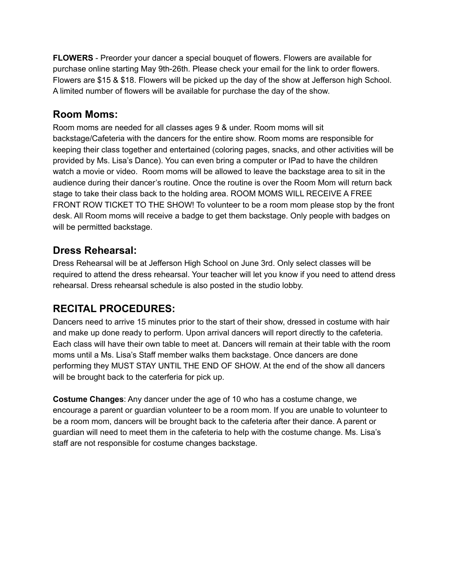**FLOWERS** - Preorder your dancer a special bouquet of flowers. Flowers are available for purchase online starting May 9th-26th. Please check your email for the link to order flowers. Flowers are \$15 & \$18. Flowers will be picked up the day of the show at Jefferson high School. A limited number of flowers will be available for purchase the day of the show.

#### **Room Moms:**

Room moms are needed for all classes ages 9 & under. Room moms will sit backstage/Cafeteria with the dancers for the entire show. Room moms are responsible for keeping their class together and entertained (coloring pages, snacks, and other activities will be provided by Ms. Lisa's Dance). You can even bring a computer or IPad to have the children watch a movie or video. Room moms will be allowed to leave the backstage area to sit in the audience during their dancer's routine. Once the routine is over the Room Mom will return back stage to take their class back to the holding area. ROOM MOMS WILL RECEIVE A FREE FRONT ROW TICKET TO THE SHOW! To volunteer to be a room mom please stop by the front desk. All Room moms will receive a badge to get them backstage. Only people with badges on will be permitted backstage.

#### **Dress Rehearsal:**

Dress Rehearsal will be at Jefferson High School on June 3rd. Only select classes will be required to attend the dress rehearsal. Your teacher will let you know if you need to attend dress rehearsal. Dress rehearsal schedule is also posted in the studio lobby.

#### **RECITAL PROCEDURES:**

Dancers need to arrive 15 minutes prior to the start of their show, dressed in costume with hair and make up done ready to perform. Upon arrival dancers will report directly to the cafeteria. Each class will have their own table to meet at. Dancers will remain at their table with the room moms until a Ms. Lisa's Staff member walks them backstage. Once dancers are done performing they MUST STAY UNTIL THE END OF SHOW. At the end of the show all dancers will be brought back to the caterferia for pick up.

**Costume Changes**: Any dancer under the age of 10 who has a costume change, we encourage a parent or guardian volunteer to be a room mom. If you are unable to volunteer to be a room mom, dancers will be brought back to the cafeteria after their dance. A parent or guardian will need to meet them in the cafeteria to help with the costume change. Ms. Lisa's staff are not responsible for costume changes backstage.